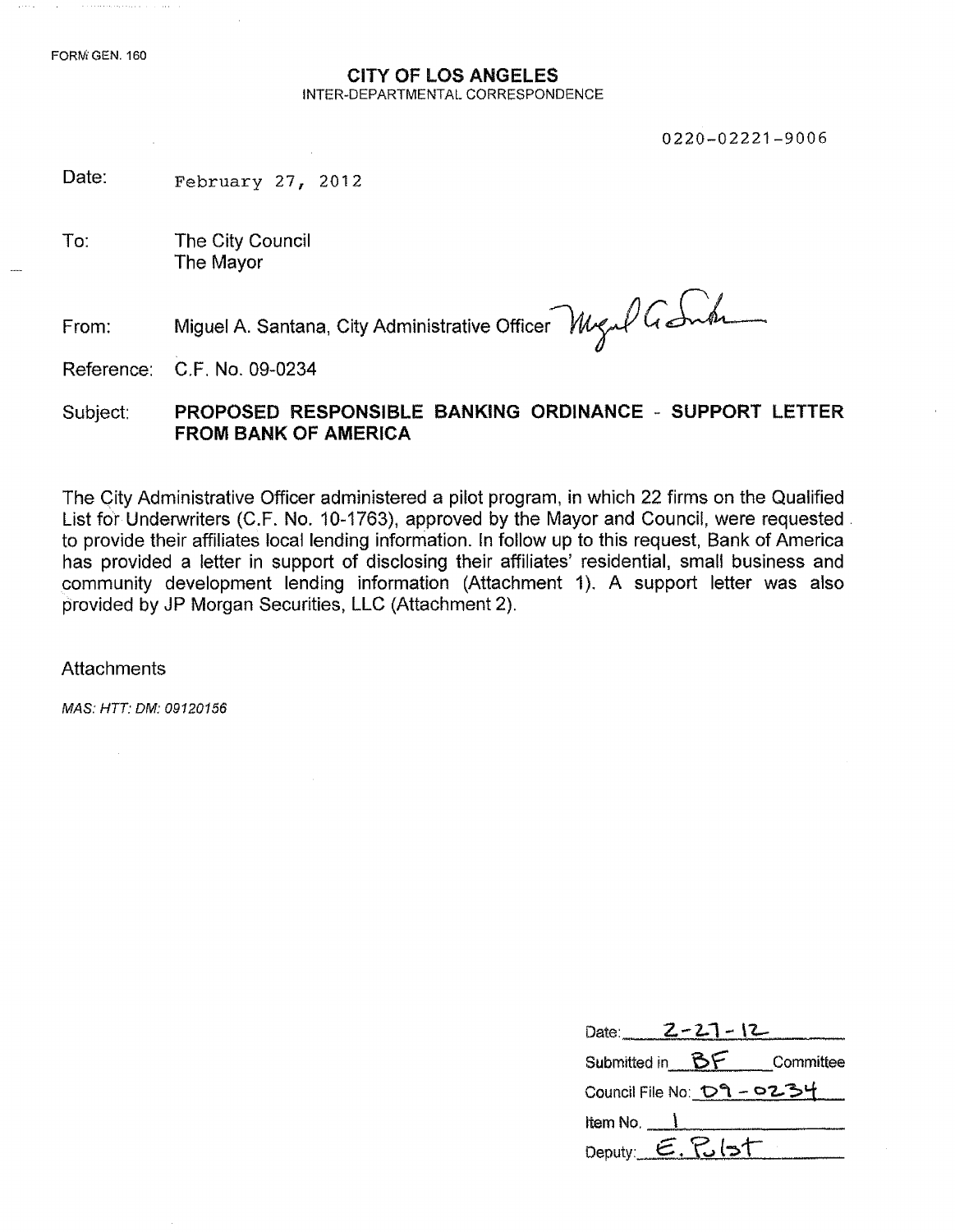### CITY OF LOS ANGELES INTER-DEPARTMENTAL CORRESPONDENCE

0220-02221-9006

Date: February 27, 2012

To: The City Council The Mayor

From: Miguel A. Santana, City Administrative Officer *Mugul Gamba* 

Reference: C.F. No. 09-0234

### Subject: PROPOSED RESPONSIBLE BANKING ORDINANCE - SUPPORT LETTER FROM BANK OF AMERICA

The City Administrative Officer administered a pilot program, in which 22 firms on the Qualified List for Underwriters (C.F. No. 10-1763), approved by the Mayor and Council, were requested. to provide their affiliates local lending lnformation. In follow up to this request, Bank of America has provided a letter in support of disclosing their affiliates' residential, small business and community development lending information (Attachment 1). A support letter was also provided by JP Morgan Securities, LLC (Attachment 2).

**Attachments** 

*MAS: HTT: OM: 09120156*

| Date: $2-27-12$                |  |                            |
|--------------------------------|--|----------------------------|
|                                |  | Submitted in BF Committee  |
|                                |  | Council File No: セ9 - ロ234 |
| Item No. $\_\_\_\_\$           |  |                            |
| Deputy: $E$ . $R$ $\mathsf{b}$ |  |                            |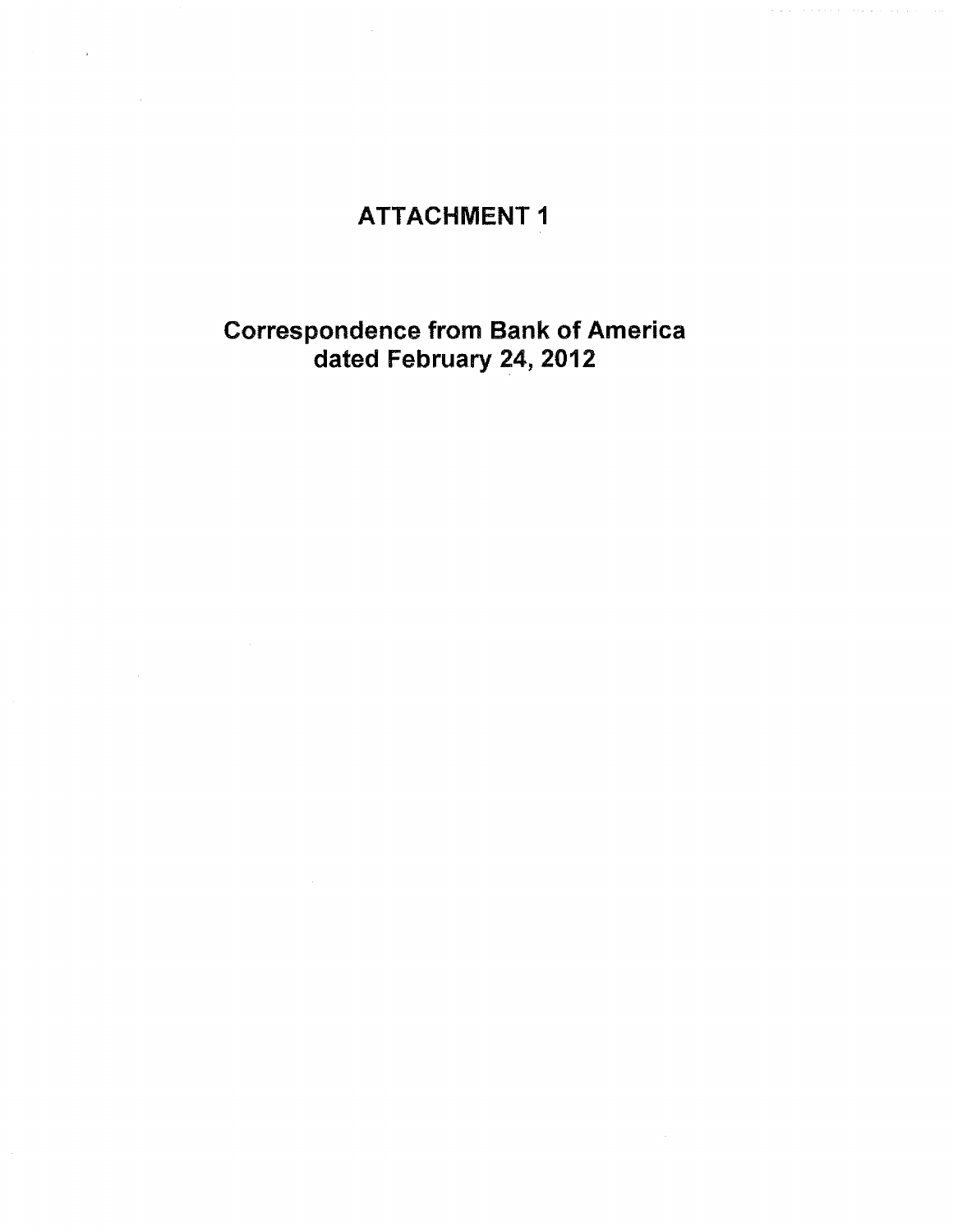# ATTACHMENT 1

 $\phi$  . The second second

### Correspondence from Bank of America dated February 24, 2012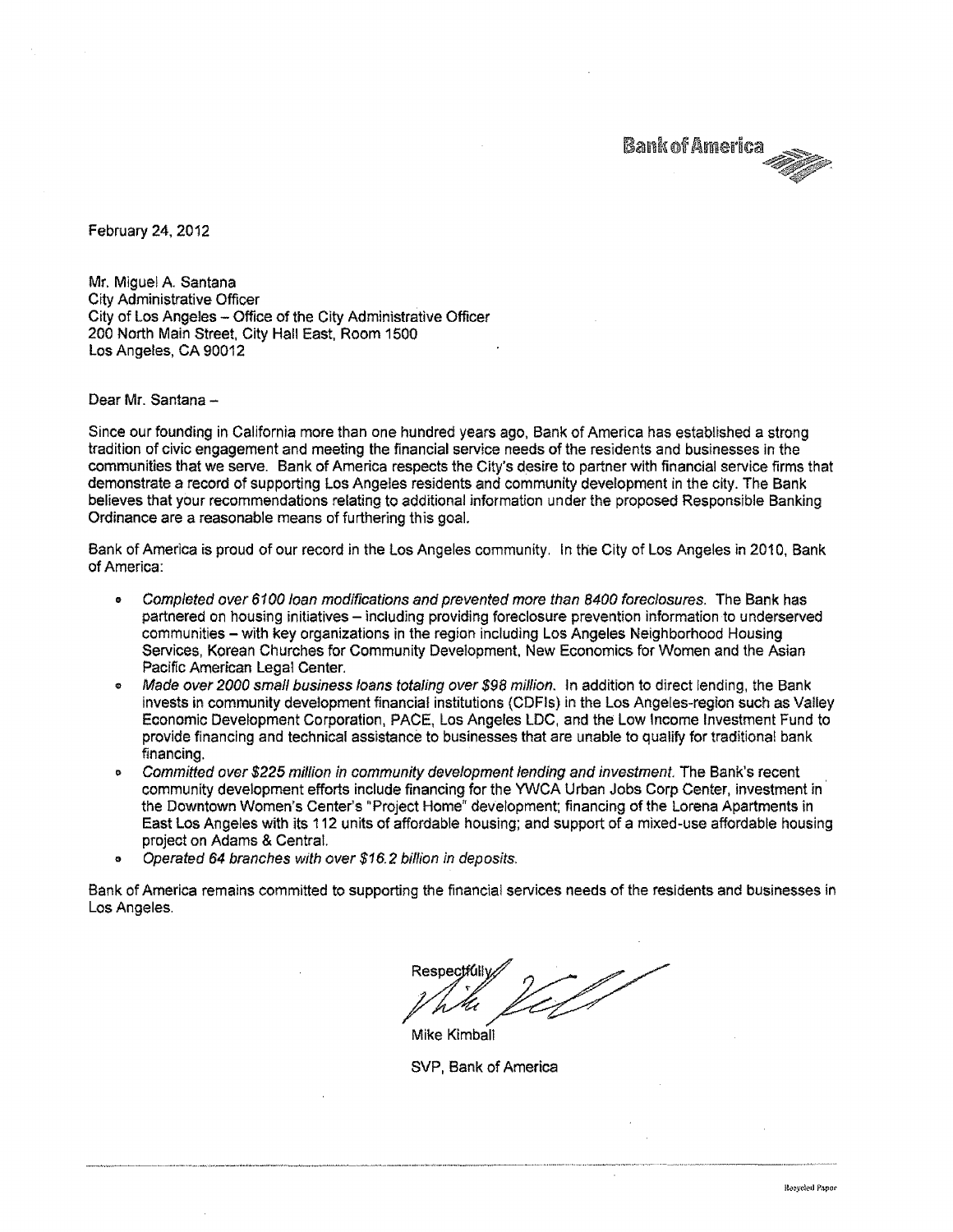**Bank of America** 

February 24, 2012

Mr. Miquel A. Santana City Administrative Officer City of Los Angeles - Office of the City Administrative Officer 200 North Main Street, City Hall East, Room 1500 Los Angeles, CA 90012

Dear Mr. Santana -

Since our founding in California more than one hundred years ago, Bank of America has established a strong tradition of civic engagement and meeting the financial service needs of the residents and businesses in the communities that we serve. Bank of America respects the City's desire to partner with financial service firms that demonstrate a record of supporting Los Angeles residents and community development in the city. The Bank believes that your recommendations relating to additional information under the proposed Responsible Banking Ordinance are a reasonable means of furthering this goal.

Bank of America is proud of our record in the Los Angeles community. In the City of Los Angeles in 2010, Bank of America:

- e *Completed over 6100 loan modifications and prevented more than 8400 foreclosures.* The Bank has partnered on housing initiatives - including providing foreclosure prevention information to underserved communities - with key organizations in the region including Los Angeles Neighborhood Housing Services, Korean Churches for Community Development, New Economics for Women and the Asian Pacific American Legal Center.
- o *Made over 2000 smaJl business loans totaling over* \$98 *million.* In addition to direct lending, the Bank invests in community development financial institutions (CDFls) in the Los Angeles-region such as Valley Economic Development Corporation, PACE, Los Angeles LOC, and the Low Income Investment Fund to provide financing and technical assistance to businesses that are unable to qualify for traditional bank financing.
- 0;> *Committed over* \$225 *million in community development lending and investment.* The Bank's recent community development efforts include financing for the YWCA Urban Jobs Corp Center, investment in the Downtown Women's Center's "Project Home" development; financing of the Lorena Apartments in East Los Angeles with its 112 units of affordable housing; and support of a mixed-use affordable housing project on Adams & Central.
- 0;> *Operated* 64 *branches with over* \$16.2 *bilfion in deposits.*

Bank of America remains committed to supporting the financial services needs of the residents and businesses in Los Angeles.

**Respectfull** Mike Kimball

SVP, Bank of America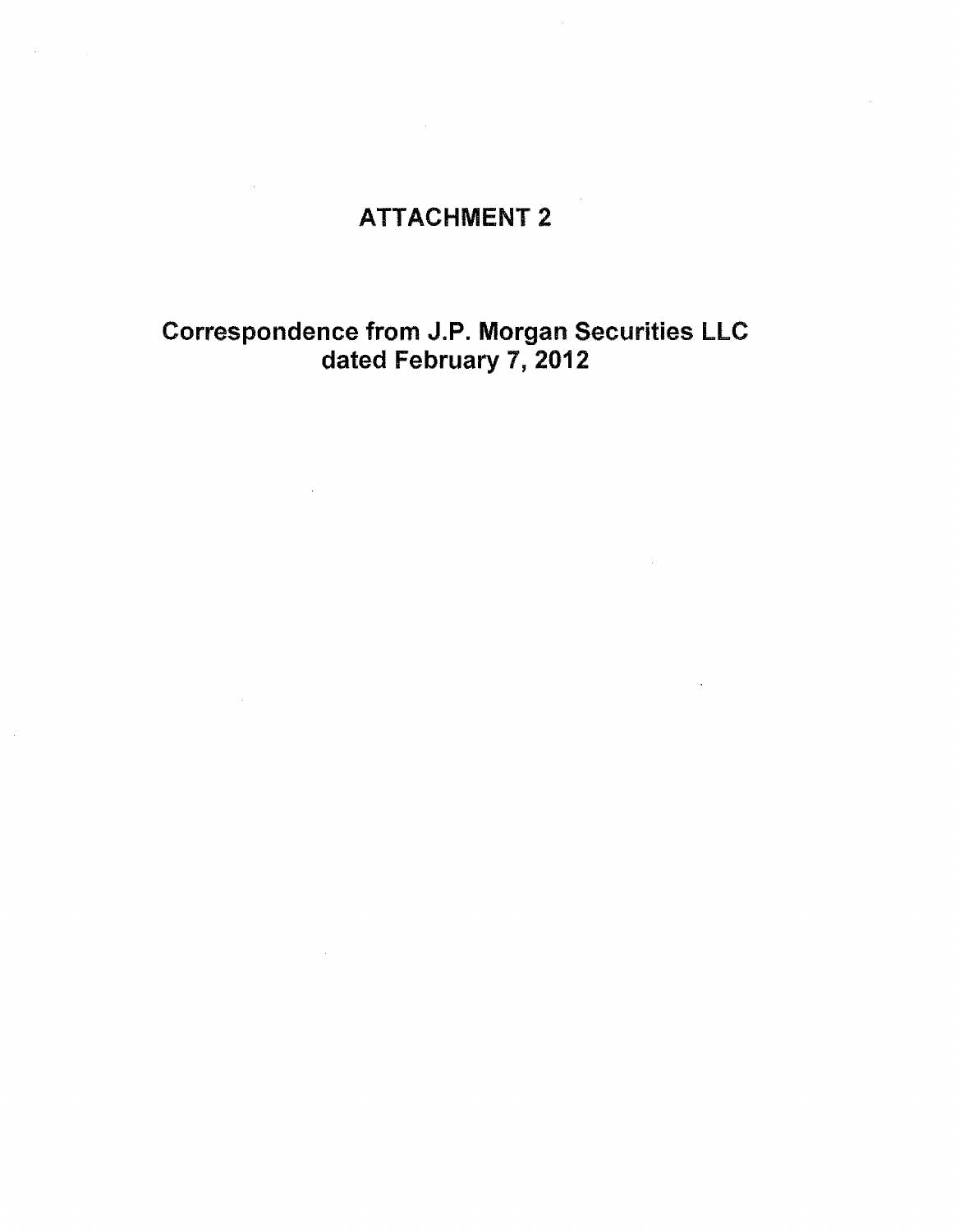## ATTACHMENT 2

 $\sim 10^{-11}$ 

 $\sim 10^{-1}$ 

 $\sim 10$ 

### Correspondence from J.P. Morgan Securities LLC dated February 7, 2012

 $\mathcal{L}$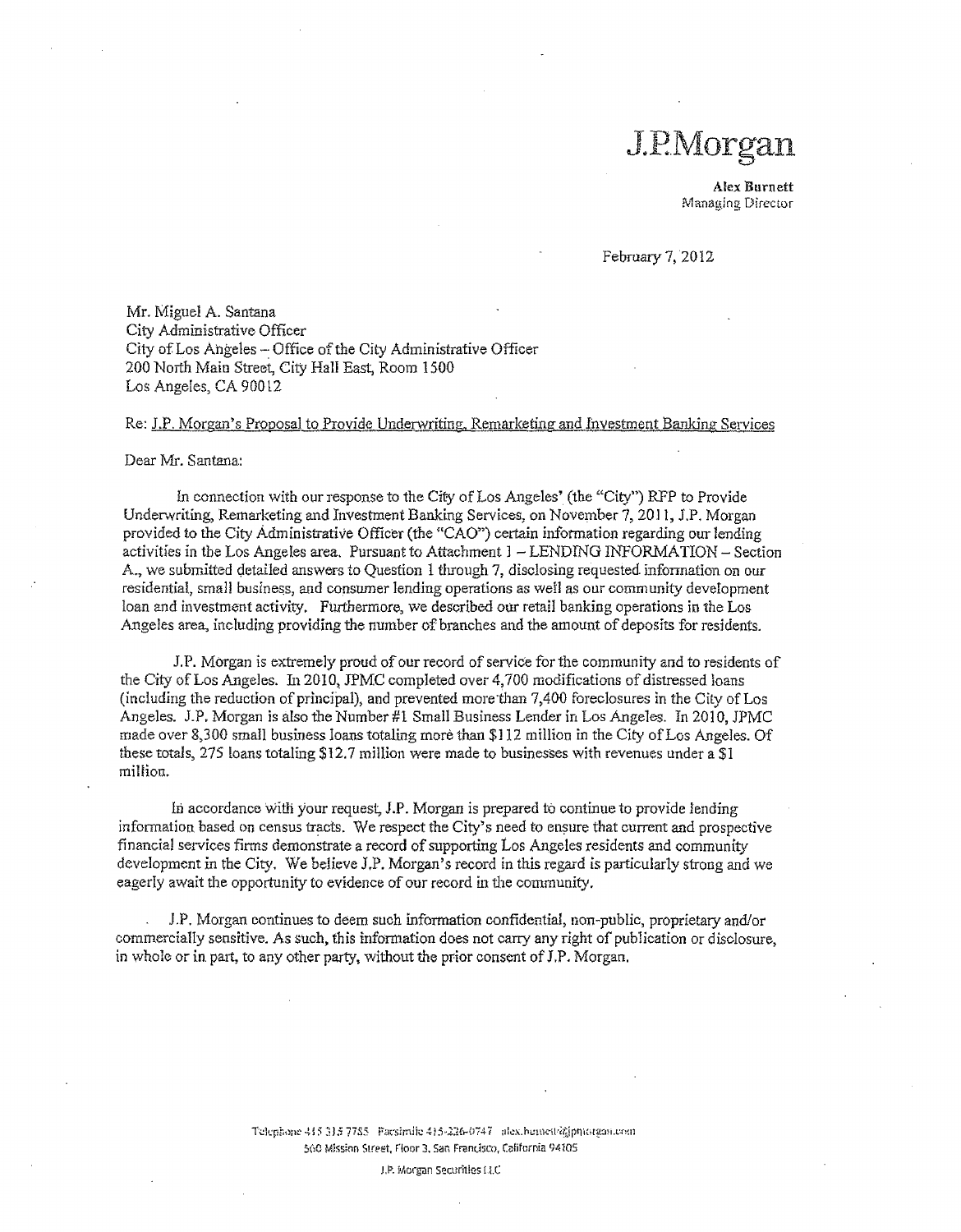# J.P.Morgan

Alex Burnett Manag.ing Director

February 7,2012

Mr. Miguel A. Santana City Administrative Officer City of Los Angeles - Office of the City Administrative Officer 200 North Main Street, City Hall East, Room 1500 Los Angeles, CA 90012

#### Re: J.P. Morgan's Proposal to Provide Underwriting, Remarketing and Investment Banking Services

#### Dear Mr. Santana:

In connection with our response to the *City* of Los Angeles' (the "City") RFP to Provide Underwriting, Remarketing and Investment Banking Services, on November 7, 20] I, J.P. Morgan provided to the City Administrative Officer (the "CAO") certain information regarding our lending activities in the Los Angeles area. Pursuant to Attachment  $1 -$ LENDING INFORMATION - Section A., we submitted detailed answers to Question 1 through 7, disclosing requested information on our residential, small business, and consumer lending operations as well as our community development loan and investment activity. Furthermore, we described our retail banking operations in the Los Angeles area, including providing the number of branches and the amount of deposits for residents.

J.P. Morgan is extremely proud of our record of service for the community and to residents of the City of Los Angeles. In 2010, JPMC completed over 4,700 modifications of distressed loans (including the reduction of principal), and prevented more 'than 7,400 foreclosures in the City of Los Angeles. J.P, Morgan is also the Number #1 Small Business Lender in Los Angeles. In 2010, JPMC made over 8,300 small business loans totaling more than \$112 million in the City of Los Angeles. Of these totals, 275 loans totaling \$12.7 million were made to businesses with revenues under a \$1 million.

hi accordance with your request, J.P. Morgan is prepared to continue to provide lending information based on census tracts. We respect the City's need to ensure that current and prospective financial services firms demonstrate a record of supporting LOS Angeles residents and community development in the City. We believe J,P. Morgan's record in this regard is particularly strong and we eagerly await the opportunity to evidence of our record in the community.

J.P. Morgan continues to deem such information confidential, non-public, proprietary and/or commercially sensitive. As such, this information does not carry any right of publication or disclosure, in whole or in part, to any other party, without the prior consent of J.P. Morgan.

> T\..:h:rh~mc -4 i**5" 3J5 <sup>7785</sup> F';J;/sh'nil:,:~** <sup>1</sup>*:5~l1{r-{j'i-4* <sup>7</sup> **ilkx.ht!lnc-u."t.irrnnrg.:".IH.l'.flH1** 560 Mission Street, Floor 3. San Francisco, California 94105

> > J.P. Morgan Securities Lt.C